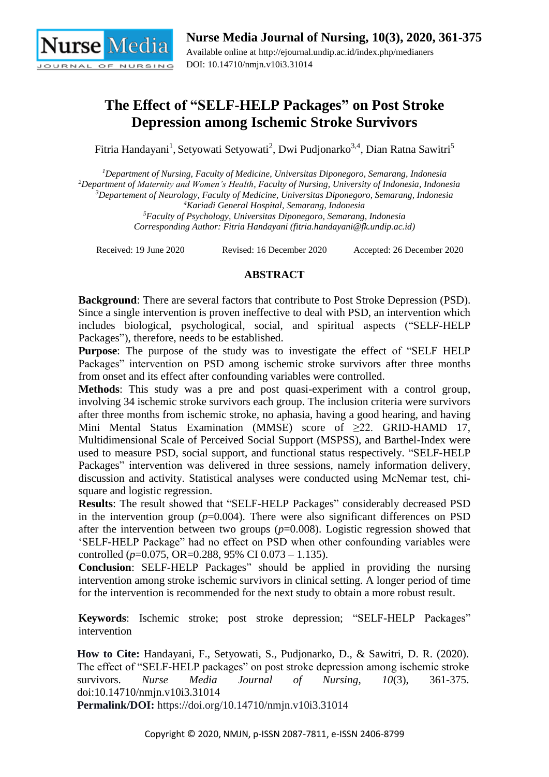

# **The Effect of "SELF-HELP Packages" on Post Stroke Depression among Ischemic Stroke Survivors**

Fitria Handayani<sup>1</sup>, Setyowati Setyowati<sup>2</sup>, Dwi Pudjonarko<sup>3,4</sup>, Dian Ratna Sawitri<sup>5</sup>

*Department of Nursing, Faculty of Medicine, Universitas Diponegoro, Semarang, Indonesia Department of Maternity and Women's Health, Faculty of Nursing, University of Indonesia, Indonesia Departement of Neurology, Faculty of Medicine, Universitas Diponegoro, Semarang, Indonesia Kariadi General Hospital, Semarang, Indonesia*

*<sup>5</sup>Faculty of Psychology, Universitas Diponegoro, Semarang, Indonesia Corresponding Author: Fitria Handayani (fitria.handayani@fk.undip.ac.id)*

Received: 19 June 2020 Revised: 16 December 2020 Accepted: 26 December 2020

# **ABSTRACT**

**Background**: There are several factors that contribute to Post Stroke Depression (PSD). Since a single intervention is proven ineffective to deal with PSD, an intervention which includes biological, psychological, social, and spiritual aspects ("SELF-HELP Packages"), therefore, needs to be established.

**Purpose**: The purpose of the study was to investigate the effect of "SELF HELP Packages" intervention on PSD among ischemic stroke survivors after three months from onset and its effect after confounding variables were controlled.

**Methods**: This study was a pre and post quasi-experiment with a control group, involving 34 ischemic stroke survivors each group. The inclusion criteria were survivors after three months from ischemic stroke, no aphasia, having a good hearing, and having Mini Mental Status Examination (MMSE) score of ≥22. GRID-HAMD 17, Multidimensional Scale of Perceived Social Support (MSPSS), and Barthel-Index were used to measure PSD, social support, and functional status respectively. "SELF-HELP Packages" intervention was delivered in three sessions, namely information delivery, discussion and activity. Statistical analyses were conducted using McNemar test, chisquare and logistic regression.

**Results**: The result showed that "SELF-HELP Packages" considerably decreased PSD in the intervention group  $(p=0.004)$ . There were also significant differences on PSD after the intervention between two groups (*p*=0.008). Logistic regression showed that 'SELF-HELP Package" had no effect on PSD when other confounding variables were controlled (*p*=0.075, OR=0.288, 95% CI 0.073 – 1.135).

**Conclusion**: SELF-HELP Packages" should be applied in providing the nursing intervention among stroke ischemic survivors in clinical setting. A longer period of time for the intervention is recommended for the next study to obtain a more robust result.

**Keywords**: Ischemic stroke; post stroke depression; "SELF-HELP Packages" intervention

**How to Cite:** Handayani, F., Setyowati, S., Pudjonarko, D., & Sawitri, D. R. (2020). The effect of "SELF-HELP packages" on post stroke depression among ischemic stroke survivors. *Nurse Media Journal of Nursing, 10*(3), 361-375. doi:10.14710/nmjn.v10i3.31014

**Permalink/DOI:** https://doi.org/10.14710/nmjn.v10i3.31014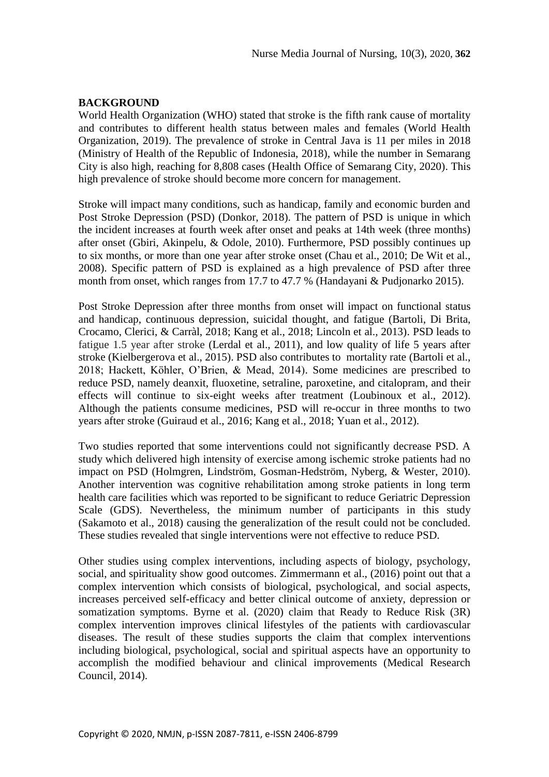# **BACKGROUND**

World Health Organization (WHO) stated that stroke is the fifth rank cause of mortality and contributes to different health status between males and females (World Health Organization, 2019). The prevalence of stroke in Central Java is 11 per miles in 2018 (Ministry of Health of the Republic of Indonesia, 2018), while the number in Semarang City is also high, reaching for 8,808 cases (Health Office of Semarang City, 2020). This high prevalence of stroke should become more concern for management.

Stroke will impact many conditions, such as handicap, family and economic burden and Post Stroke Depression (PSD) (Donkor, 2018). The pattern of PSD is unique in which the incident increases at fourth week after onset and peaks at 14th week (three months) after onset (Gbiri, Akinpelu, & Odole, 2010). Furthermore, PSD possibly continues up to six months, or more than one year after stroke onset (Chau et al., 2010; De Wit et al., 2008). Specific pattern of PSD is explained as a high prevalence of PSD after three month from onset, which ranges from 17.7 to 47.7 % (Handayani & Pudjonarko 2015).

Post Stroke Depression after three months from onset will impact on functional status and handicap, continuous depression, suicidal thought, and fatigue (Bartoli, Di Brita, Crocamo, Clerici, & Carràl, 2018; Kang et al., 2018; Lincoln et al., 2013). PSD leads to fatigue 1.5 year after stroke (Lerdal et al., 2011), and low quality of life 5 years after stroke (Kielbergerova et al., 2015). PSD also contributes to mortality rate (Bartoli et al., 2018; Hackett, Köhler, O'Brien, & Mead, 2014). Some medicines are prescribed to reduce PSD, namely deanxit, fluoxetine, setraline, paroxetine, and citalopram, and their effects will continue to six-eight weeks after treatment (Loubinoux et al., 2012). Although the patients consume medicines, PSD will re-occur in three months to two years after stroke (Guiraud et al., 2016; Kang et al., 2018; Yuan et al., 2012).

Two studies reported that some interventions could not significantly decrease PSD. A study which delivered high intensity of exercise among ischemic stroke patients had no impact on PSD (Holmgren, Lindström, Gosman-Hedström, Nyberg, & Wester, 2010). Another intervention was cognitive rehabilitation among stroke patients in long term health care facilities which was reported to be significant to reduce Geriatric Depression Scale (GDS). Nevertheless, the minimum number of participants in this study (Sakamoto et al., 2018) causing the generalization of the result could not be concluded. These studies revealed that single interventions were not effective to reduce PSD.

Other studies using complex interventions, including aspects of biology, psychology, social, and spirituality show good outcomes. Zimmermann et al., (2016) point out that a complex intervention which consists of biological, psychological, and social aspects, increases perceived self-efficacy and better clinical outcome of anxiety, depression or somatization symptoms. Byrne et al. (2020) claim that Ready to Reduce Risk (3R) complex intervention improves clinical lifestyles of the patients with cardiovascular diseases. The result of these studies supports the claim that complex interventions including biological, psychological, social and spiritual aspects have an opportunity to accomplish the modified behaviour and clinical improvements (Medical Research Council, 2014).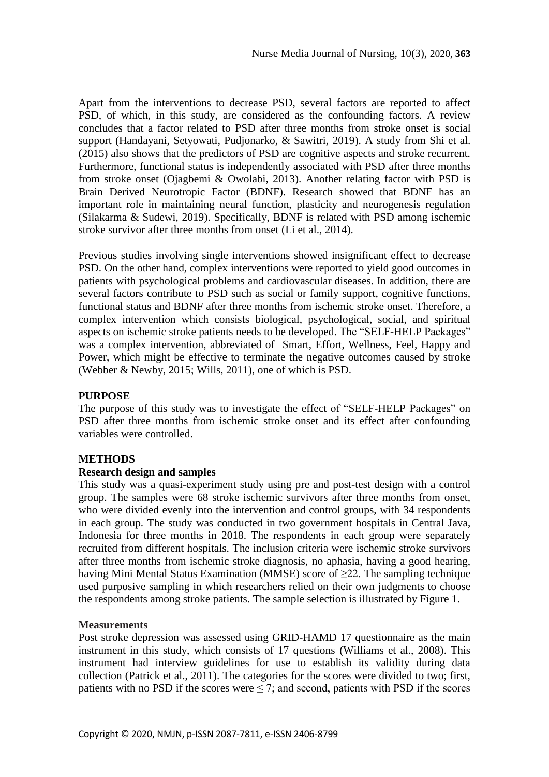Apart from the interventions to decrease PSD, several factors are reported to affect PSD, of which, in this study, are considered as the confounding factors. A review concludes that a factor related to PSD after three months from stroke onset is social support (Handayani, Setyowati, Pudjonarko, & Sawitri, 2019). A study from Shi et al. (2015) also shows that the predictors of PSD are cognitive aspects and stroke recurrent. Furthermore, functional status is independently associated with PSD after three months from stroke onset (Ojagbemi & Owolabi, 2013). Another relating factor with PSD is Brain Derived Neurotropic Factor (BDNF). Research showed that BDNF has an important role in maintaining neural function, plasticity and neurogenesis regulation (Silakarma & Sudewi, 2019). Specifically, BDNF is related with PSD among ischemic stroke survivor after three months from onset (Li et al., 2014).

Previous studies involving single interventions showed insignificant effect to decrease PSD. On the other hand, complex interventions were reported to yield good outcomes in patients with psychological problems and cardiovascular diseases. In addition, there are several factors contribute to PSD such as social or family support, cognitive functions, functional status and BDNF after three months from ischemic stroke onset. Therefore, a complex intervention which consists biological, psychological, social, and spiritual aspects on ischemic stroke patients needs to be developed. The "SELF-HELP Packages" was a complex intervention, abbreviated of Smart, Effort, Wellness, Feel, Happy and Power, which might be effective to terminate the negative outcomes caused by stroke (Webber & Newby, 2015; Wills, 2011), one of which is PSD.

# **PURPOSE**

The purpose of this study was to investigate the effect of "SELF-HELP Packages" on PSD after three months from ischemic stroke onset and its effect after confounding variables were controlled.

# **METHODS**

# **Research design and samples**

This study was a quasi-experiment study using pre and post-test design with a control group. The samples were 68 stroke ischemic survivors after three months from onset, who were divided evenly into the intervention and control groups, with 34 respondents in each group. The study was conducted in two government hospitals in Central Java, Indonesia for three months in 2018. The respondents in each group were separately recruited from different hospitals. The inclusion criteria were ischemic stroke survivors after three months from ischemic stroke diagnosis, no aphasia, having a good hearing, having Mini Mental Status Examination (MMSE) score of  $\geq$ 22. The sampling technique used purposive sampling in which researchers relied on their own judgments to choose the respondents among stroke patients. The sample selection is illustrated by Figure 1.

# **Measurements**

Post stroke depression was assessed using GRID-HAMD 17 questionnaire as the main instrument in this study, which consists of 17 questions (Williams et al., 2008). This instrument had interview guidelines for use to establish its validity during data collection (Patrick et al., 2011). The categories for the scores were divided to two; first, patients with no PSD if the scores were  $\leq$  7; and second, patients with PSD if the scores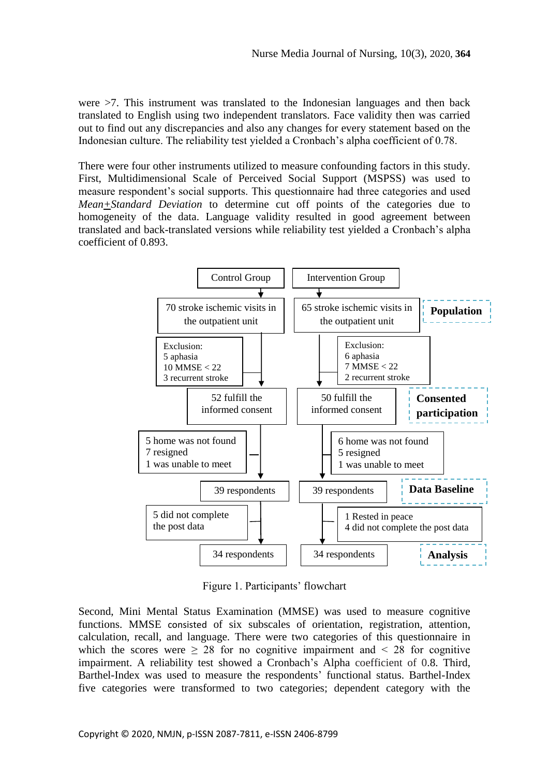were >7. This instrument was translated to the Indonesian languages and then back translated to English using two independent translators. Face validity then was carried out to find out any discrepancies and also any changes for every statement based on the Indonesian culture. The reliability test yielded a Cronbach's alpha coefficient of 0.78.

There were four other instruments utilized to measure confounding factors in this study. First, Multidimensional Scale of Perceived Social Support (MSPSS) was used to measure respondent's social supports. This questionnaire had three categories and used *Mean+Standard Deviation* to determine cut off points of the categories due to homogeneity of the data. Language validity resulted in good agreement between translated and back-translated versions while reliability test yielded a Cronbach's alpha coefficient of 0.893.



Figure 1. Participants' flowchart

Second, Mini Mental Status Examination (MMSE) was used to measure cognitive functions. MMSE consisted of six subscales of orientation, registration, attention, calculation, recall, and language. There were two categories of this questionnaire in which the scores were  $\geq 28$  for no cognitive impairment and  $\leq 28$  for cognitive impairment. A reliability test showed a Cronbach's Alpha coefficient of 0.8. Third, Barthel-Index was used to measure the respondents' functional status. Barthel-Index five categories were transformed to two categories; dependent category with the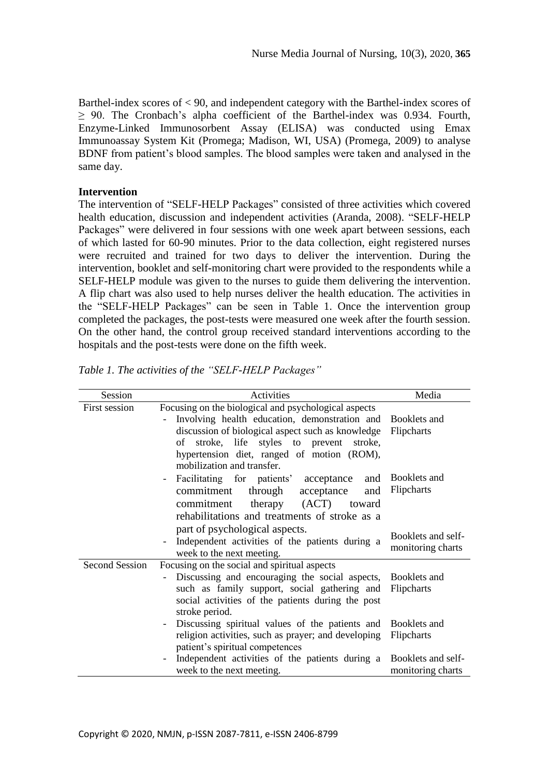Barthel-index scores of < 90, and independent category with the Barthel-index scores of  $\geq$  90. The Cronbach's alpha coefficient of the Barthel-index was 0.934. Fourth, Enzyme-Linked Immunosorbent Assay (ELISA) was conducted using Emax Immunoassay System Kit (Promega; Madison, WI, USA) (Promega, 2009) to analyse BDNF from patient's blood samples. The blood samples were taken and analysed in the same day.

# **Intervention**

The intervention of "SELF-HELP Packages" consisted of three activities which covered health education, discussion and independent activities (Aranda, 2008). "SELF-HELP Packages" were delivered in four sessions with one week apart between sessions, each of which lasted for 60-90 minutes. Prior to the data collection, eight registered nurses were recruited and trained for two days to deliver the intervention. During the intervention, booklet and self-monitoring chart were provided to the respondents while a SELF-HELP module was given to the nurses to guide them delivering the intervention. A flip chart was also used to help nurses deliver the health education. The activities in the "SELF-HELP Packages" can be seen in Table 1. Once the intervention group completed the packages, the post-tests were measured one week after the fourth session. On the other hand, the control group received standard interventions according to the hospitals and the post-tests were done on the fifth week.

| Session               | Activities                                                                                                                                                                                                                                                                                             | Media                                   |  |
|-----------------------|--------------------------------------------------------------------------------------------------------------------------------------------------------------------------------------------------------------------------------------------------------------------------------------------------------|-----------------------------------------|--|
| First session         | Focusing on the biological and psychological aspects<br>Involving health education, demonstration and Booklets and<br>discussion of biological aspect such as knowledge<br>stroke, life styles to prevent<br>stroke,<br>of<br>hypertension diet, ranged of motion (ROM),<br>mobilization and transfer. | Flipcharts                              |  |
|                       | Facilitating for patients' acceptance<br>and<br>commitment<br>through<br>acceptance<br>and<br>(ACT)<br>therapy<br>commitment<br>toward<br>rehabilitations and treatments of stroke as a                                                                                                                | Booklets and<br>Flipcharts              |  |
|                       | part of psychological aspects.<br>Independent activities of the patients during a<br>week to the next meeting.                                                                                                                                                                                         | Booklets and self-<br>monitoring charts |  |
| <b>Second Session</b> | Focusing on the social and spiritual aspects<br>Discussing and encouraging the social aspects, Booklets and<br>such as family support, social gathering and<br>social activities of the patients during the post<br>stroke period.                                                                     | Flipcharts                              |  |
|                       | Discussing spiritual values of the patients and<br>religion activities, such as prayer; and developing<br>patient's spiritual competences                                                                                                                                                              | Booklets and<br>Flipcharts              |  |
|                       | Independent activities of the patients during a<br>week to the next meeting.                                                                                                                                                                                                                           | Booklets and self-<br>monitoring charts |  |

*Table 1. The activities of the "SELF-HELP Packages"*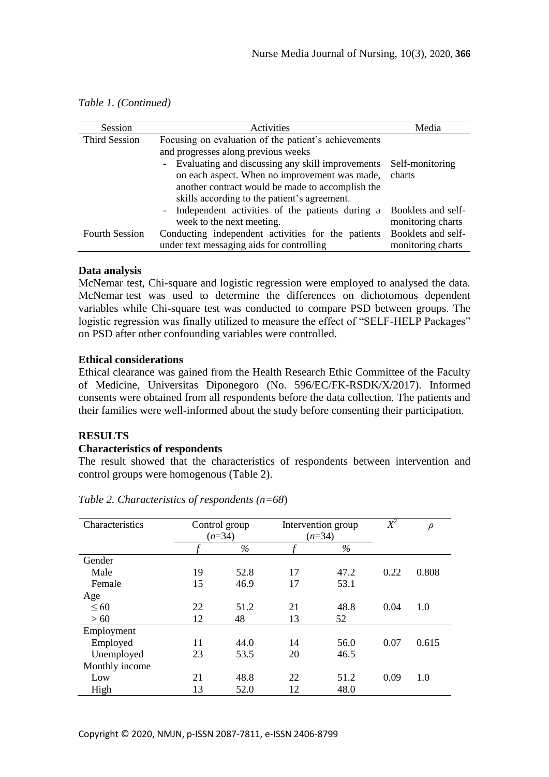| Session               | Activities                                                                  | Media              |
|-----------------------|-----------------------------------------------------------------------------|--------------------|
| <b>Third Session</b>  | Focusing on evaluation of the patient's achievements                        |                    |
|                       | and progresses along previous weeks                                         |                    |
|                       | Evaluating and discussing any skill improvements<br>$-$                     | Self-monitoring    |
|                       | on each aspect. When no improvement was made,                               | charts             |
|                       | another contract would be made to accomplish the                            |                    |
|                       | skills according to the patient's agreement.                                |                    |
|                       | Independent activities of the patients during a<br>$\overline{\phantom{a}}$ | Booklets and self- |
|                       | week to the next meeting.                                                   | monitoring charts  |
| <b>Fourth Session</b> | Conducting independent activities for the patients                          | Booklets and self- |
|                       | under text messaging aids for controlling                                   | monitoring charts  |

#### *Table 1. (Continued)*

#### **Data analysis**

McNemar test, Chi-square and logistic regression were employed to analysed the data. McNemar test was used to determine the differences on dichotomous dependent variables while Chi-square test was conducted to compare PSD between groups. The logistic regression was finally utilized to measure the effect of "SELF-HELP Packages" on PSD after other confounding variables were controlled.

#### **Ethical considerations**

Ethical clearance was gained from the Health Research Ethic Committee of the Faculty of Medicine, Universitas Diponegoro (No. 596/EC/FK-RSDK/X/2017). Informed consents were obtained from all respondents before the data collection. The patients and their families were well-informed about the study before consenting their participation.

# **RESULTS**

#### **Characteristics of respondents**

The result showed that the characteristics of respondents between intervention and control groups were homogenous (Table 2).

| Characteristics | Control group<br>$(n=34)$ |      | Intervention group<br>$(n=34)$ |      | $\overline{X}{}^2$ | $\rho$ |
|-----------------|---------------------------|------|--------------------------------|------|--------------------|--------|
|                 |                           | $\%$ |                                | $\%$ |                    |        |
| Gender          |                           |      |                                |      |                    |        |
| Male            | 19                        | 52.8 | 17                             | 47.2 | 0.22               | 0.808  |
| Female          | 15                        | 46.9 | 17                             | 53.1 |                    |        |
| Age             |                           |      |                                |      |                    |        |
| $\leq 60$       | 22                        | 51.2 | 21                             | 48.8 | 0.04               | 1.0    |
| >60             | 12                        | 48   | 13                             | 52   |                    |        |
| Employment      |                           |      |                                |      |                    |        |
| Employed        | 11                        | 44.0 | 14                             | 56.0 | 0.07               | 0.615  |
| Unemployed      | 23                        | 53.5 | 20                             | 46.5 |                    |        |
| Monthly income  |                           |      |                                |      |                    |        |
| Low             | 21                        | 48.8 | 22                             | 51.2 | 0.09               | 1.0    |
| High            | 13                        | 52.0 | 12                             | 48.0 |                    |        |

*Table 2. Characteristics of respondents (n=68*)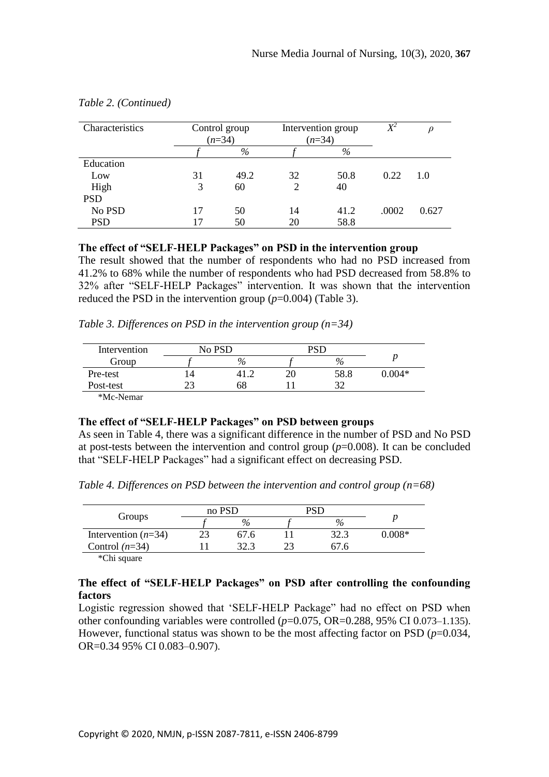| Characteristics | Control group<br>$(n=34)$ |      |    | Intervention group<br>$(n=34)$ | $X\!\!\!\!{}^2$ |       |
|-----------------|---------------------------|------|----|--------------------------------|-----------------|-------|
|                 |                           | %    |    | $\%$                           |                 |       |
| Education       |                           |      |    |                                |                 |       |
| Low             | 31                        | 49.2 | 32 | 50.8                           | 0.22            | 1.0   |
| High            | 3                         | 60   |    | 40                             |                 |       |
| <b>PSD</b>      |                           |      |    |                                |                 |       |
| No PSD          | 17                        | 50   | 14 | 41.2                           | .0002           | 0.627 |
| <b>PSD</b>      | 17                        | 50   | 20 | 58.8                           |                 |       |

#### *Table 2. (Continued)*

#### **The effect of "SELF-HELP Packages" on PSD in the intervention group**

The result showed that the number of respondents who had no PSD increased from 41.2% to 68% while the number of respondents who had PSD decreased from 58.8% to 32% after "SELF-HELP Packages" intervention. It was shown that the intervention reduced the PSD in the intervention group  $(p=0.004)$  (Table 3).

*Table 3. Differences on PSD in the intervention group (n=34)* 

| Intervention | No PSD |      | DCE |      |          |
|--------------|--------|------|-----|------|----------|
| Group        |        | $\%$ |     | $\%$ |          |
| Pre-test     |        |      |     | 58.8 | $0.004*$ |
| Post-test    |        | 68   |     | າາ   |          |
| $\mathbf{A}$ |        |      |     |      |          |

\*Mc-Nemar

#### **The effect of "SELF-HELP Packages" on PSD between groups**

As seen in Table 4, there was a significant difference in the number of PSD and No PSD at post-tests between the intervention and control group  $(p=0.008)$ . It can be concluded that "SELF-HELP Packages" had a significant effect on decreasing PSD.

*Table 4. Differences on PSD between the intervention and control group (n=68)*

|                       | no PSD |      | PST |       |        |
|-----------------------|--------|------|-----|-------|--------|
| Groups                |        | $\%$ |     | $\%$  |        |
| Intervention $(n=34)$ |        | 67.6 |     | 32.3  | 0.008* |
| Control $(n=34)$      |        | 32.3 |     | 07. h |        |
| $\sim$                |        |      |     |       |        |

\*Chi square

# **The effect of "SELF-HELP Packages" on PSD after controlling the confounding factors**

Logistic regression showed that 'SELF-HELP Package" had no effect on PSD when other confounding variables were controlled  $(p=0.075, OR=0.288, 95\% \text{ CI } 0.073-1.135)$ . However, functional status was shown to be the most affecting factor on PSD ( $p=0.034$ , OR=0.34 95% CI 0.083–0.907).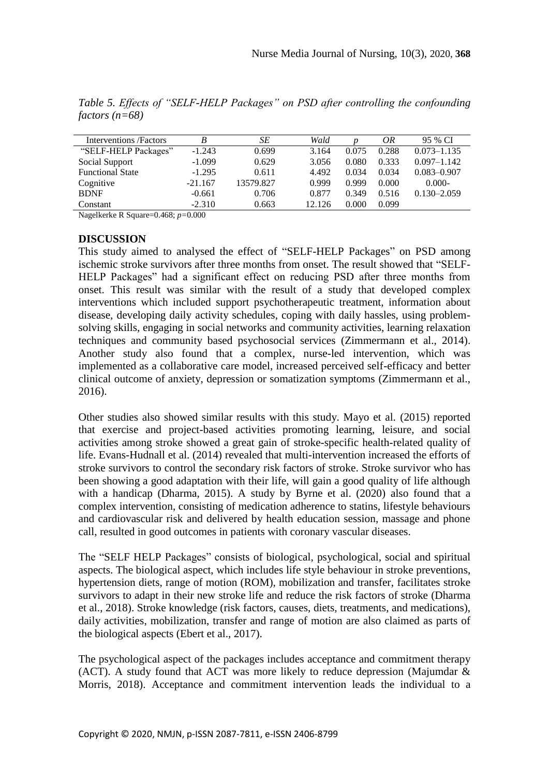| Interventions / Factors | B         | SЕ        | Wald   |       | ΟR    | 95 % CI         |
|-------------------------|-----------|-----------|--------|-------|-------|-----------------|
| "SELF-HELP Packages"    | $-1.243$  | 0.699     | 3.164  | 0.075 | 0.288 | $0.073 - 1.135$ |
| Social Support          | $-1.099$  | 0.629     | 3.056  | 0.080 | 0.333 | $0.097 - 1.142$ |
| <b>Functional State</b> | $-1.295$  | 0.611     | 4.492  | 0.034 | 0.034 | $0.083 - 0.907$ |
| Cognitive               | $-21.167$ | 13579.827 | 0.999  | 0.999 | 0.000 | $0.000 -$       |
| <b>BDNF</b>             | $-0.661$  | 0.706     | 0.877  | 0.349 | 0.516 | $0.130 - 2.059$ |
| Constant                | $-2.310$  | 0.663     | 12.126 | 0.000 | 0.099 |                 |

*Table 5. Effects of "SELF-HELP Packages" on PSD after controlling the confounding factors (n=68)*

Nagelkerke R Square=0.468; *p=*0.000

# **DISCUSSION**

This study aimed to analysed the effect of "SELF-HELP Packages" on PSD among ischemic stroke survivors after three months from onset. The result showed that "SELF-HELP Packages" had a significant effect on reducing PSD after three months from onset. This result was similar with the result of a study that developed complex interventions which included support psychotherapeutic treatment, information about disease, developing daily activity schedules, coping with daily hassles, using problemsolving skills, engaging in social networks and community activities, learning relaxation techniques and community based psychosocial services (Zimmermann et al., 2014). Another study also found that a complex, nurse-led intervention, which was implemented as a collaborative care model, increased perceived self-efficacy and better clinical outcome of anxiety, depression or somatization symptoms (Zimmermann et al., 2016).

Other studies also showed similar results with this study. Mayo et al. (2015) reported that exercise and project-based activities promoting learning, leisure, and social activities among stroke showed a great gain of stroke-specific health-related quality of life. Evans-Hudnall et al. (2014) revealed that multi-intervention increased the efforts of stroke survivors to control the secondary risk factors of stroke. Stroke survivor who has been showing a good adaptation with their life, will gain a good quality of life although with a handicap (Dharma, 2015). A study by Byrne et al. (2020) also found that a complex intervention, consisting of medication adherence to statins, lifestyle behaviours and cardiovascular risk and delivered by health education session, massage and phone call, resulted in good outcomes in patients with coronary vascular diseases.

The "SELF HELP Packages" consists of biological, psychological, social and spiritual aspects. The biological aspect, which includes life style behaviour in stroke preventions, hypertension diets, range of motion (ROM), mobilization and transfer, facilitates stroke survivors to adapt in their new stroke life and reduce the risk factors of stroke (Dharma et al., 2018). Stroke knowledge (risk factors, causes, diets, treatments, and medications), daily activities, mobilization, transfer and range of motion are also claimed as parts of the biological aspects (Ebert et al., 2017).

The psychological aspect of the packages includes acceptance and commitment therapy (ACT). A study found that ACT was more likely to reduce depression (Majumdar & Morris, 2018). Acceptance and commitment intervention leads the individual to a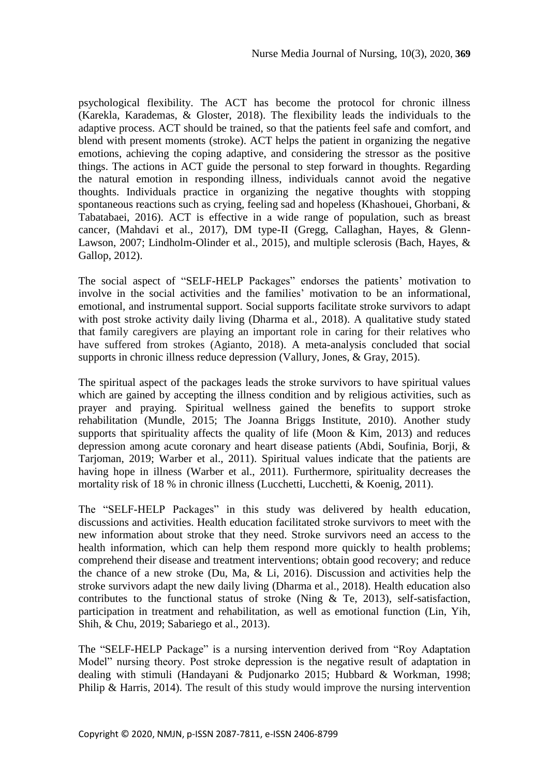psychological flexibility. The ACT has become the protocol for chronic illness (Karekla, Karademas, & Gloster, 2018). The flexibility leads the individuals to the adaptive process. ACT should be trained, so that the patients feel safe and comfort, and blend with present moments (stroke). ACT helps the patient in organizing the negative emotions, achieving the coping adaptive, and considering the stressor as the positive things. The actions in ACT guide the personal to step forward in thoughts. Regarding the natural emotion in responding illness, individuals cannot avoid the negative thoughts. Individuals practice in organizing the negative thoughts with stopping spontaneous reactions such as crying, feeling sad and hopeless (Khashouei, Ghorbani, & Tabatabaei, 2016). ACT is effective in a wide range of population, such as breast cancer, (Mahdavi et al., 2017), DM type-II (Gregg, Callaghan, Hayes, & Glenn-Lawson, 2007; Lindholm-Olinder et al., 2015), and multiple sclerosis (Bach, Hayes, & Gallop, 2012).

The social aspect of "SELF-HELP Packages" endorses the patients' motivation to involve in the social activities and the families' motivation to be an informational, emotional, and instrumental support. Social supports facilitate stroke survivors to adapt with post stroke activity daily living (Dharma et al., 2018). A qualitative study stated that family caregivers are playing an important role in caring for their relatives who have suffered from strokes (Agianto, 2018). A meta-analysis concluded that social supports in chronic illness reduce depression (Vallury, Jones, & Gray, 2015).

The spiritual aspect of the packages leads the stroke survivors to have spiritual values which are gained by accepting the illness condition and by religious activities, such as prayer and praying. Spiritual wellness gained the benefits to support stroke rehabilitation (Mundle, 2015; The Joanna Briggs Institute, 2010). Another study supports that spirituality affects the quality of life (Moon  $\&$  Kim, 2013) and reduces depression among acute coronary and heart disease patients (Abdi, Soufinia, Borji, & Tarjoman, 2019; Warber et al., 2011). Spiritual values indicate that the patients are having hope in illness (Warber et al., 2011). Furthermore, spirituality decreases the mortality risk of 18 % in chronic illness (Lucchetti, Lucchetti, & Koenig, 2011).

The "SELF-HELP Packages" in this study was delivered by health education, discussions and activities. Health education facilitated stroke survivors to meet with the new information about stroke that they need. Stroke survivors need an access to the health information, which can help them respond more quickly to health problems; comprehend their disease and treatment interventions; obtain good recovery; and reduce the chance of a new stroke (Du, Ma, & Li, 2016). Discussion and activities help the stroke survivors adapt the new daily living (Dharma et al., 2018). Health education also contributes to the functional status of stroke (Ning & Te, 2013), self-satisfaction, participation in treatment and rehabilitation, as well as emotional function (Lin, Yih, Shih, & Chu, 2019; Sabariego et al., 2013).

The "SELF-HELP Package" is a nursing intervention derived from "Roy Adaptation Model" nursing theory. Post stroke depression is the negative result of adaptation in dealing with stimuli (Handayani & Pudjonarko 2015; Hubbard & Workman, 1998; Philip & Harris, 2014). The result of this study would improve the nursing intervention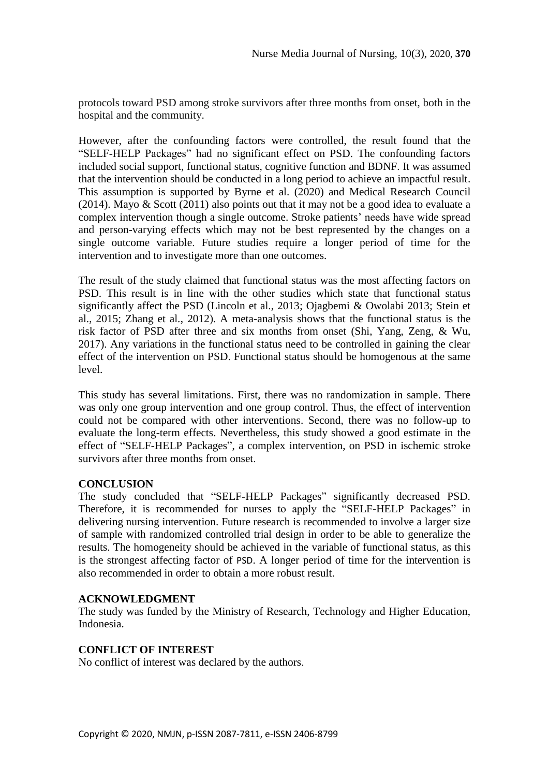protocols toward PSD among stroke survivors after three months from onset, both in the hospital and the community.

However, after the confounding factors were controlled, the result found that the "SELF-HELP Packages" had no significant effect on PSD. The confounding factors included social support, functional status, cognitive function and BDNF. It was assumed that the intervention should be conducted in a long period to achieve an impactful result. This assumption is supported by Byrne et al. (2020) and Medical Research Council (2014). Mayo & Scott (2011) also points out that it may not be a good idea to evaluate a complex intervention though a single outcome. Stroke patients' needs have wide spread and person-varying effects which may not be best represented by the changes on a single outcome variable. Future studies require a longer period of time for the intervention and to investigate more than one outcomes.

The result of the study claimed that functional status was the most affecting factors on PSD. This result is in line with the other studies which state that functional status significantly affect the PSD (Lincoln et al., 2013; Ojagbemi & Owolabi 2013; Stein et al., 2015; Zhang et al., 2012). A meta-analysis shows that the functional status is the risk factor of PSD after three and six months from onset (Shi, Yang, Zeng, & Wu, 2017). Any variations in the functional status need to be controlled in gaining the clear effect of the intervention on PSD. Functional status should be homogenous at the same level.

This study has several limitations. First, there was no randomization in sample. There was only one group intervention and one group control. Thus, the effect of intervention could not be compared with other interventions. Second, there was no follow-up to evaluate the long-term effects. Nevertheless, this study showed a good estimate in the effect of "SELF-HELP Packages", a complex intervention, on PSD in ischemic stroke survivors after three months from onset.

# **CONCLUSION**

The study concluded that "SELF-HELP Packages" significantly decreased PSD. Therefore, it is recommended for nurses to apply the "SELF-HELP Packages" in delivering nursing intervention. Future research is recommended to involve a larger size of sample with randomized controlled trial design in order to be able to generalize the results. The homogeneity should be achieved in the variable of functional status, as this is the strongest affecting factor of PSD. A longer period of time for the intervention is also recommended in order to obtain a more robust result.

# **ACKNOWLEDGMENT**

The study was funded by the Ministry of Research, Technology and Higher Education, Indonesia.

# **CONFLICT OF INTEREST**

No conflict of interest was declared by the authors.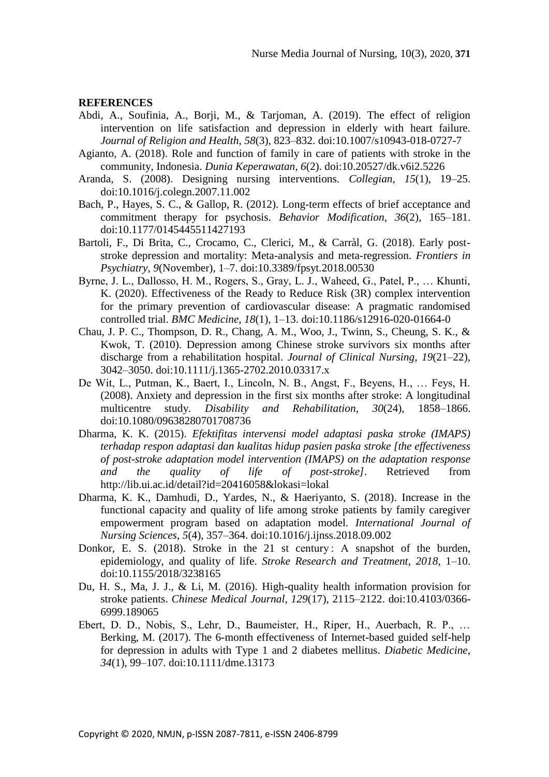#### **REFERENCES**

- Abdi, A., Soufinia, A., Borji, M., & Tarjoman, A. (2019). The effect of religion intervention on life satisfaction and depression in elderly with heart failure. *Journal of Religion and Health*, *58*(3), 823–832. doi:10.1007/s10943-018-0727-7
- Agianto, A. (2018). Role and function of family in care of patients with stroke in the community, Indonesia. *Dunia Keperawatan*, *6*(2). doi:10.20527/dk.v6i2.5226
- Aranda, S. (2008). Designing nursing interventions. *Collegian*, *15*(1), 19–25. doi:10.1016/j.colegn.2007.11.002
- Bach, P., Hayes, S. C., & Gallop, R. (2012). Long-term effects of brief acceptance and commitment therapy for psychosis. *Behavior Modification*, *36*(2), 165–181. doi:10.1177/0145445511427193
- Bartoli, F., Di Brita, C., Crocamo, C., Clerici, M., & Carràl, G. (2018). Early poststroke depression and mortality: Meta-analysis and meta-regression. *Frontiers in Psychiatry*, *9*(November), 1–7. doi:10.3389/fpsyt.2018.00530
- Byrne, J. L., Dallosso, H. M., Rogers, S., Gray, L. J., Waheed, G., Patel, P., … Khunti, K. (2020). Effectiveness of the Ready to Reduce Risk (3R) complex intervention for the primary prevention of cardiovascular disease: A pragmatic randomised controlled trial. *BMC Medicine*, *18*(1), 1–13. doi:10.1186/s12916-020-01664-0
- Chau, J. P. C., Thompson, D. R., Chang, A. M., Woo, J., Twinn, S., Cheung, S. K., & Kwok, T. (2010). Depression among Chinese stroke survivors six months after discharge from a rehabilitation hospital. *Journal of Clinical Nursing*, *19*(21–22), 3042–3050. doi:10.1111/j.1365-2702.2010.03317.x
- De Wit, L., Putman, K., Baert, I., Lincoln, N. B., Angst, F., Beyens, H., … Feys, H. (2008). Anxiety and depression in the first six months after stroke: A longitudinal multicentre study. *Disability and Rehabilitation*, *30*(24), 1858–1866. doi:10.1080/09638280701708736
- Dharma, K. K. (2015). *Efektifitas intervensi model adaptasi paska stroke (IMAPS) terhadap respon adaptasi dan kualitas hidup pasien paska stroke [the effectiveness of post-stroke adaptation model intervention (IMAPS) on the adaptation response and the quality of life of post-stroke]*. Retrieved from http://lib.ui.ac.id/detail?id=20416058&lokasi=lokal
- Dharma, K. K., Damhudi, D., Yardes, N., & Haeriyanto, S. (2018). Increase in the functional capacity and quality of life among stroke patients by family caregiver empowerment program based on adaptation model. *International Journal of Nursing Sciences*, *5*(4), 357–364. doi:10.1016/j.ijnss.2018.09.002
- Donkor, E. S. (2018). Stroke in the 21 st century: A snapshot of the burden, epidemiology, and quality of life. *Stroke Research and Treatment*, *2018*, 1–10. doi:10.1155/2018/3238165
- Du, H. S., Ma, J. J., & Li, M. (2016). High-quality health information provision for stroke patients. *Chinese Medical Journal*, *129*(17), 2115–2122. doi:10.4103/0366- 6999.189065
- Ebert, D. D., Nobis, S., Lehr, D., Baumeister, H., Riper, H., Auerbach, R. P., … Berking, M. (2017). The 6-month effectiveness of Internet-based guided self-help for depression in adults with Type 1 and 2 diabetes mellitus. *Diabetic Medicine*, *34*(1), 99–107. doi:10.1111/dme.13173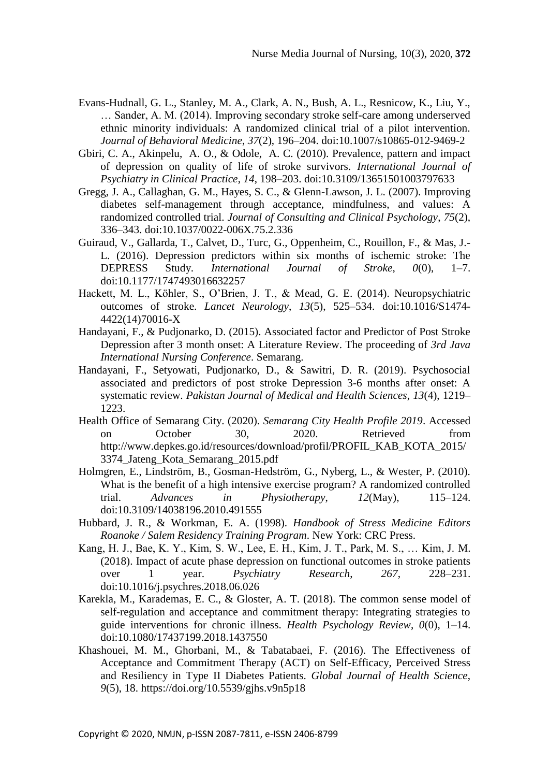- Evans-Hudnall, G. L., Stanley, M. A., Clark, A. N., Bush, A. L., Resnicow, K., Liu, Y., … Sander, A. M. (2014). Improving secondary stroke self-care among underserved ethnic minority individuals: A randomized clinical trial of a pilot intervention. *Journal of Behavioral Medicine*, *37*(2), 196–204. doi:10.1007/s10865-012-9469-2
- Gbiri, C. A., Akinpelu, A. O., & Odole, A. C. (2010). Prevalence, pattern and impact of depression on quality of life of stroke survivors. *International Journal of Psychiatry in Clinical Practice*, *14*, 198–203. doi:10.3109/13651501003797633
- Gregg, J. A., Callaghan, G. M., Hayes, S. C., & Glenn-Lawson, J. L. (2007). Improving diabetes self-management through acceptance, mindfulness, and values: A randomized controlled trial. *Journal of Consulting and Clinical Psychology*, *75*(2), 336–343. doi:10.1037/0022-006X.75.2.336
- Guiraud, V., Gallarda, T., Calvet, D., Turc, G., Oppenheim, C., Rouillon, F., & Mas, J.- L. (2016). Depression predictors within six months of ischemic stroke: The DEPRESS Study. *International Journal of Stroke*, *0*(0), 1–7. doi:10.1177/1747493016632257
- Hackett, M. L., Köhler, S., O'Brien, J. T., & Mead, G. E. (2014). Neuropsychiatric outcomes of stroke. *Lancet Neurology*, *13*(5), 525–534. doi:10.1016/S1474- 4422(14)70016-X
- Handayani, F., & Pudjonarko, D. (2015). Associated factor and Predictor of Post Stroke Depression after 3 month onset: A Literature Review. The proceeding of *3rd Java International Nursing Conference*. Semarang.
- Handayani, F., Setyowati, Pudjonarko, D., & Sawitri, D. R. (2019). Psychosocial associated and predictors of post stroke Depression 3-6 months after onset: A systematic review. *Pakistan Journal of Medical and Health Sciences*, *13*(4), 1219– 1223.
- Health Office of Semarang City. (2020). *Semarang City Health Profile 2019*. Accessed on October 30, 2020. Retrieved from http://www.depkes.go.id/resources/download/profil/PROFIL\_KAB\_KOTA\_2015/ 3374\_Jateng\_Kota\_Semarang\_2015.pdf
- Holmgren, E., Lindström, B., Gosman-Hedström, G., Nyberg, L., & Wester, P. (2010). What is the benefit of a high intensive exercise program? A randomized controlled trial. *Advances in Physiotherapy*, *12*(May), 115–124. doi:10.3109/14038196.2010.491555
- Hubbard, J. R., & Workman, E. A. (1998). *Handbook of Stress Medicine Editors Roanoke / Salem Residency Training Program*. New York: CRC Press.
- Kang, H. J., Bae, K. Y., Kim, S. W., Lee, E. H., Kim, J. T., Park, M. S., … Kim, J. M. (2018). Impact of acute phase depression on functional outcomes in stroke patients over 1 year. *Psychiatry Research*, *267*, 228–231. doi:10.1016/j.psychres.2018.06.026
- Karekla, M., Karademas, E. C., & Gloster, A. T. (2018). The common sense model of self-regulation and acceptance and commitment therapy: Integrating strategies to guide interventions for chronic illness. *Health Psychology Review*, *0*(0), 1–14. doi:10.1080/17437199.2018.1437550
- Khashouei, M. M., Ghorbani, M., & Tabatabaei, F. (2016). The Effectiveness of Acceptance and Commitment Therapy (ACT) on Self-Efficacy, Perceived Stress and Resiliency in Type II Diabetes Patients. *Global Journal of Health Science*, *9*(5), 18. https://doi.org/10.5539/gjhs.v9n5p18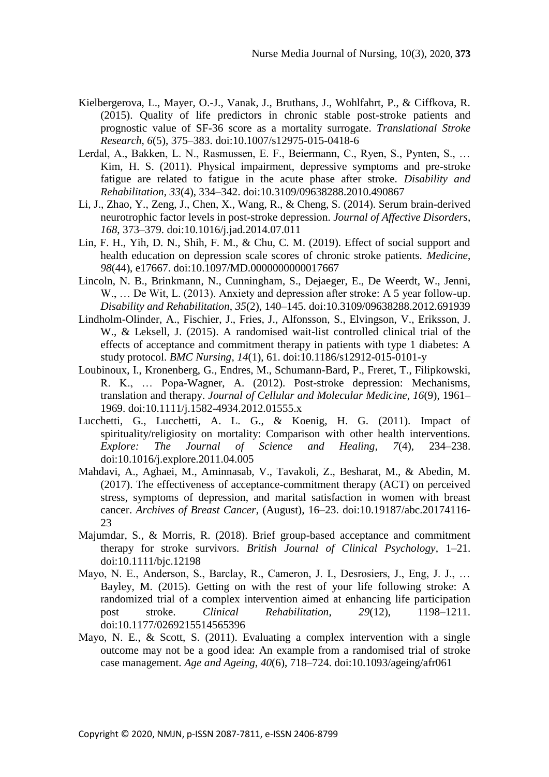- Kielbergerova, L., Mayer, O.-J., Vanak, J., Bruthans, J., Wohlfahrt, P., & Ciffkova, R. (2015). Quality of life predictors in chronic stable post-stroke patients and prognostic value of SF-36 score as a mortality surrogate. *Translational Stroke Research*, *6*(5), 375–383. doi:10.1007/s12975-015-0418-6
- Lerdal, A., Bakken, L. N., Rasmussen, E. F., Beiermann, C., Ryen, S., Pynten, S., … Kim, H. S. (2011). Physical impairment, depressive symptoms and pre-stroke fatigue are related to fatigue in the acute phase after stroke. *Disability and Rehabilitation*, *33*(4), 334–342. doi:10.3109/09638288.2010.490867
- Li, J., Zhao, Y., Zeng, J., Chen, X., Wang, R., & Cheng, S. (2014). Serum brain-derived neurotrophic factor levels in post-stroke depression. *Journal of Affective Disorders*, *168*, 373–379. doi:10.1016/j.jad.2014.07.011
- Lin, F. H., Yih, D. N., Shih, F. M., & Chu, C. M. (2019). Effect of social support and health education on depression scale scores of chronic stroke patients. *Medicine*, *98*(44), e17667. doi:10.1097/MD.0000000000017667
- Lincoln, N. B., Brinkmann, N., Cunningham, S., Dejaeger, E., De Weerdt, W., Jenni, W., ... De Wit, L. (2013). Anxiety and depression after stroke: A 5 year follow-up. *Disability and Rehabilitation*, *35*(2), 140–145. doi:10.3109/09638288.2012.691939
- Lindholm-Olinder, A., Fischier, J., Fries, J., Alfonsson, S., Elvingson, V., Eriksson, J. W., & Leksell, J. (2015). A randomised wait-list controlled clinical trial of the effects of acceptance and commitment therapy in patients with type 1 diabetes: A study protocol. *BMC Nursing*, *14*(1), 61. doi:10.1186/s12912-015-0101-y
- Loubinoux, I., Kronenberg, G., Endres, M., Schumann-Bard, P., Freret, T., Filipkowski, R. K., … Popa-Wagner, A. (2012). Post-stroke depression: Mechanisms, translation and therapy. *Journal of Cellular and Molecular Medicine*, *16*(9), 1961– 1969. doi:10.1111/j.1582-4934.2012.01555.x
- Lucchetti, G., Lucchetti, A. L. G., & Koenig, H. G. (2011). Impact of spirituality/religiosity on mortality: Comparison with other health interventions. *Explore: The Journal of Science and Healing*, *7*(4), 234–238. doi:10.1016/j.explore.2011.04.005
- Mahdavi, A., Aghaei, M., Aminnasab, V., Tavakoli, Z., Besharat, M., & Abedin, M. (2017). The effectiveness of acceptance-commitment therapy (ACT) on perceived stress, symptoms of depression, and marital satisfaction in women with breast cancer. *Archives of Breast Cancer*, (August), 16–23. doi:10.19187/abc.20174116- 23
- Majumdar, S., & Morris, R. (2018). Brief group-based acceptance and commitment therapy for stroke survivors. *British Journal of Clinical Psychology*, 1–21. doi:10.1111/bjc.12198
- Mayo, N. E., Anderson, S., Barclay, R., Cameron, J. I., Desrosiers, J., Eng, J. J., … Bayley, M. (2015). Getting on with the rest of your life following stroke: A randomized trial of a complex intervention aimed at enhancing life participation post stroke. *Clinical Rehabilitation*, *29*(12), 1198–1211. doi:10.1177/0269215514565396
- Mayo, N. E., & Scott, S. (2011). Evaluating a complex intervention with a single outcome may not be a good idea: An example from a randomised trial of stroke case management. *Age and Ageing*, *40*(6), 718–724. doi:10.1093/ageing/afr061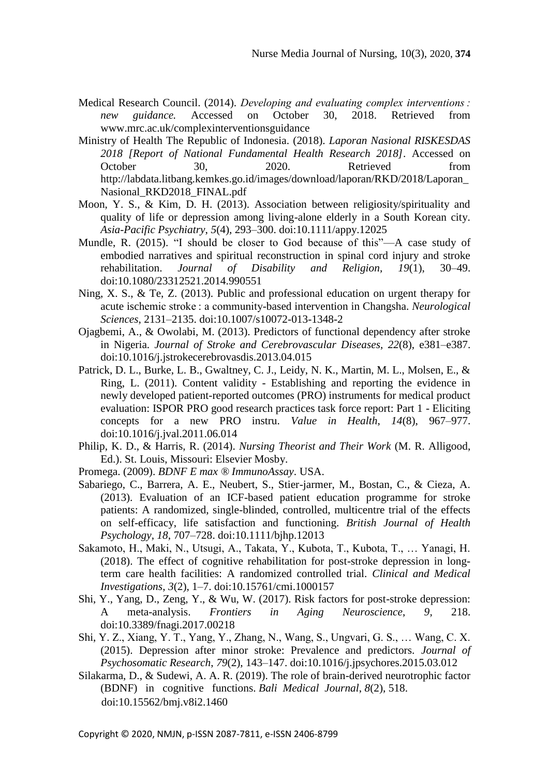- Medical Research Council. (2014). *Developing and evaluating complex interventions : new guidance.* Accessed on October 30, 2018. Retrieved from www.mrc.ac.uk/complexinterventionsguidance
- Ministry of Health The Republic of Indonesia. (2018). *Laporan Nasional RISKESDAS 2018 [Report of National Fundamental Health Research 2018]*. Accessed on October 30, 2020. Retrieved from http://labdata.litbang.kemkes.go.id/images/download/laporan/RKD/2018/Laporan\_ Nasional\_RKD2018\_FINAL.pdf
- Moon, Y. S., & Kim, D. H. (2013). Association between religiosity/spirituality and quality of life or depression among living-alone elderly in a South Korean city. *Asia-Pacific Psychiatry*, *5*(4), 293–300. doi:10.1111/appy.12025
- Mundle, R. (2015). "I should be closer to God because of this"—A case study of embodied narratives and spiritual reconstruction in spinal cord injury and stroke rehabilitation. *Journal of Disability and Religion, 19*(1), 30–49. doi:10.1080/23312521.2014.990551
- Ning, X. S., & Te, Z. (2013). Public and professional education on urgent therapy for acute ischemic stroke : a community-based intervention in Changsha. *Neurological Sciences*, 2131–2135. doi:10.1007/s10072-013-1348-2
- Ojagbemi, A., & Owolabi, M. (2013). Predictors of functional dependency after stroke in Nigeria. *Journal of Stroke and Cerebrovascular Diseases*, *22*(8), e381–e387. doi:10.1016/j.jstrokecerebrovasdis.2013.04.015
- Patrick, D. L., Burke, L. B., Gwaltney, C. J., Leidy, N. K., Martin, M. L., Molsen, E., & Ring, L. (2011). Content validity - Establishing and reporting the evidence in newly developed patient-reported outcomes (PRO) instruments for medical product evaluation: ISPOR PRO good research practices task force report: Part 1 - Eliciting concepts for a new PRO instru. *Value in Health*, *14*(8), 967–977. doi:10.1016/j.jval.2011.06.014
- Philip, K. D., & Harris, R. (2014). *Nursing Theorist and Their Work* (M. R. Alligood, Ed.). St. Louis, Missouri: Elsevier Mosby.
- Promega. (2009). *BDNF E max ® ImmunoAssay*. USA.
- Sabariego, C., Barrera, A. E., Neubert, S., Stier-jarmer, M., Bostan, C., & Cieza, A. (2013). Evaluation of an ICF-based patient education programme for stroke patients: A randomized, single-blinded, controlled, multicentre trial of the effects on self-efficacy, life satisfaction and functioning. *British Journal of Health Psychology*, *18*, 707–728. doi:10.1111/bjhp.12013
- Sakamoto, H., Maki, N., Utsugi, A., Takata, Y., Kubota, T., Kubota, T., … Yanagi, H. (2018). The effect of cognitive rehabilitation for post-stroke depression in longterm care health facilities: A randomized controlled trial. *Clinical and Medical Investigations*, *3*(2), 1–7. doi:10.15761/cmi.1000157
- Shi, Y., Yang, D., Zeng, Y., & Wu, W. (2017). Risk factors for post-stroke depression: A meta-analysis. *Frontiers in Aging Neuroscience*, *9,* 218. doi:10.3389/fnagi.2017.00218
- Shi, Y. Z., Xiang, Y. T., Yang, Y., Zhang, N., Wang, S., Ungvari, G. S., … Wang, C. X. (2015). Depression after minor stroke: Prevalence and predictors. *Journal of Psychosomatic Research*, *79*(2), 143–147. doi:10.1016/j.jpsychores.2015.03.012
- Silakarma, D., & Sudewi, A. A. R. (2019). The role of brain-derived neurotrophic factor (BDNF) in cognitive functions. *Bali Medical Journal*, *8*(2), 518. doi:10.15562/bmj.v8i2.1460